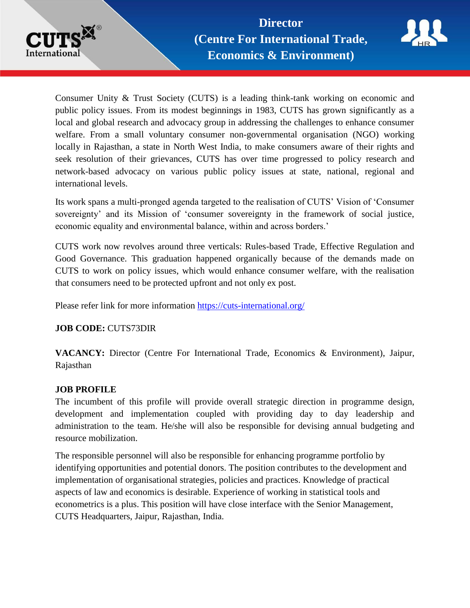



Consumer Unity & Trust Society (CUTS) is a leading think-tank working on economic and public policy issues. From its modest beginnings in 1983, CUTS has grown significantly as a local and global research and advocacy group in addressing the challenges to enhance consumer welfare. From a small voluntary consumer non-governmental organisation (NGO) working locally in Rajasthan, a state in North West India, to make consumers aware of their rights and seek resolution of their grievances, CUTS has over time progressed to policy research and network-based advocacy on various public policy issues at state, national, regional and international levels.

Its work spans a multi-pronged agenda targeted to the realisation of CUTS' Vision of 'Consumer sovereignty' and its Mission of 'consumer sovereignty in the framework of social justice, economic equality and environmental balance, within and across borders.'

CUTS work now revolves around three verticals: Rules-based Trade, Effective Regulation and Good Governance. This graduation happened organically because of the demands made on CUTS to work on policy issues, which would enhance consumer welfare, with the realisation that consumers need to be protected upfront and not only ex post.

Please refer link for more information <https://cuts-international.org/>

# **JOB CODE:** CUTS73DIR

**VACANCY:** Director (Centre For International Trade, Economics & Environment), Jaipur, Rajasthan

# **JOB PROFILE**

The incumbent of this profile will provide overall strategic direction in programme design, development and implementation coupled with providing day to day leadership and administration to the team. He/she will also be responsible for devising annual budgeting and resource mobilization.

The responsible personnel will also be responsible for enhancing programme portfolio by identifying opportunities and potential donors. The position contributes to the development and implementation of organisational strategies, policies and practices. Knowledge of practical aspects of law and economics is desirable. Experience of working in statistical tools and econometrics is a plus. This position will have close interface with the Senior Management, CUTS Headquarters, Jaipur, Rajasthan, India.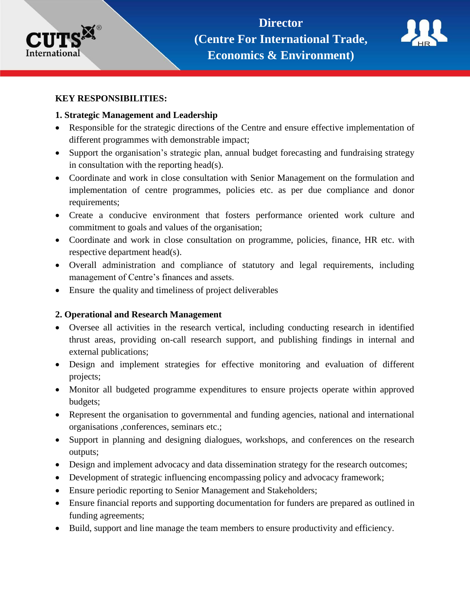



#### **KEY RESPONSIBILITIES:**

#### **1. Strategic Management and Leadership**

- Responsible for the strategic directions of the Centre and ensure effective implementation of different programmes with demonstrable impact;
- Support the organisation's strategic plan, annual budget forecasting and fundraising strategy in consultation with the reporting head(s).
- Coordinate and work in close consultation with Senior Management on the formulation and implementation of centre programmes, policies etc. as per due compliance and donor requirements;
- Create a conducive environment that fosters performance oriented work culture and commitment to goals and values of the organisation;
- Coordinate and work in close consultation on programme, policies, finance, HR etc. with respective department head(s).
- Overall administration and compliance of statutory and legal requirements, including management of Centre's finances and assets.
- Ensure the quality and timeliness of project deliverables

# **2. Operational and Research Management**

- Oversee all activities in the research vertical, including conducting research in identified thrust areas, providing on-call research support, and publishing findings in internal and external publications;
- Design and implement strategies for effective monitoring and evaluation of different projects;
- Monitor all budgeted programme expenditures to ensure projects operate within approved budgets;
- Represent the organisation to governmental and funding agencies, national and international organisations ,conferences, seminars etc.;
- Support in planning and designing dialogues, workshops, and conferences on the research outputs;
- Design and implement advocacy and data dissemination strategy for the research outcomes;
- Development of strategic influencing encompassing policy and advocacy framework;
- Ensure periodic reporting to Senior Management and Stakeholders;
- Ensure financial reports and supporting documentation for funders are prepared as outlined in funding agreements;
- Build, support and line manage the team members to ensure productivity and efficiency.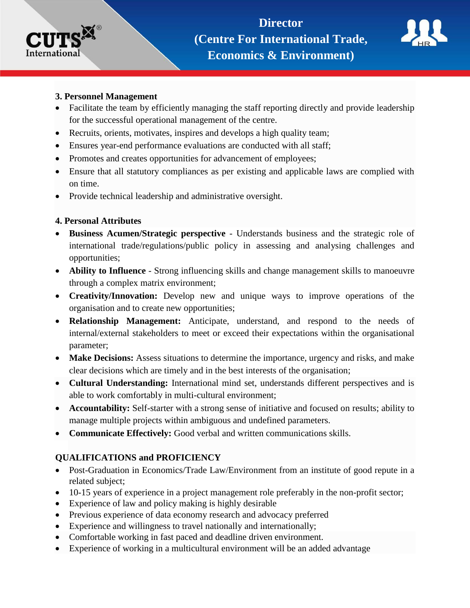



## **3. Personnel Management**

- Facilitate the team by efficiently managing the staff reporting directly and provide leadership for the successful operational management of the centre.
- Recruits, orients, motivates, inspires and develops a high quality team;
- Ensures year-end performance evaluations are conducted with all staff;
- Promotes and creates opportunities for advancement of employees;
- Ensure that all statutory compliances as per existing and applicable laws are complied with on time.
- Provide technical leadership and administrative oversight.

## **4. Personal Attributes**

- **Business Acumen/Strategic perspective** Understands business and the strategic role of international trade/regulations/public policy in assessing and analysing challenges and opportunities;
- **Ability to Influence** Strong influencing skills and change management skills to manoeuvre through a complex matrix environment;
- **Creativity/Innovation:** Develop new and unique ways to improve operations of the organisation and to create new opportunities;
- **Relationship Management:** Anticipate, understand, and respond to the needs of internal/external stakeholders to meet or exceed their expectations within the organisational parameter;
- **Make Decisions:** Assess situations to determine the importance, urgency and risks, and make clear decisions which are timely and in the best interests of the organisation;
- **Cultural Understanding:** International mind set, understands different perspectives and is able to work comfortably in multi-cultural environment;
- **Accountability:** Self-starter with a strong sense of initiative and focused on results; ability to manage multiple projects within ambiguous and undefined parameters.
- **Communicate Effectively:** Good verbal and written communications skills.

# **QUALIFICATIONS and PROFICIENCY**

- Post-Graduation in Economics/Trade Law/Environment from an institute of good repute in a related subject;
- 10-15 years of experience in a project management role preferably in the non-profit sector;
- Experience of law and policy making is highly desirable
- Previous experience of data economy research and advocacy preferred
- Experience and willingness to travel nationally and internationally;
- Comfortable working in fast paced and deadline driven environment.
- Experience of working in a multicultural environment will be an added advantage